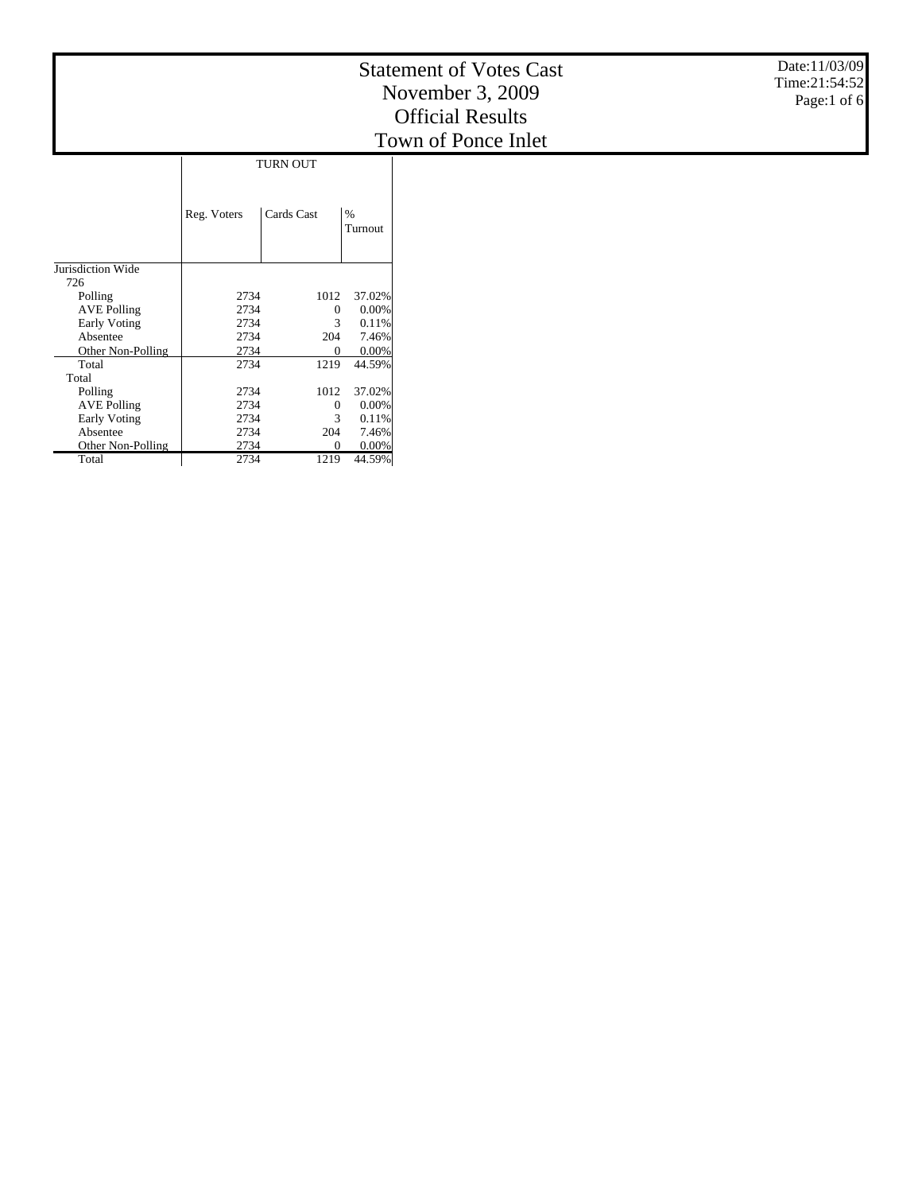|                          |             |              |                 | Date:11/03/09<br><b>Statement of Votes Cast</b><br>Time:21:54:52<br>November 3, 2009<br>Page:1 of 6<br><b>Official Results</b> |  |  |  |  |
|--------------------------|-------------|--------------|-----------------|--------------------------------------------------------------------------------------------------------------------------------|--|--|--|--|
|                          |             |              |                 | Town of Ponce Inlet                                                                                                            |  |  |  |  |
|                          |             | TURN OUT     |                 |                                                                                                                                |  |  |  |  |
|                          |             |              |                 |                                                                                                                                |  |  |  |  |
|                          | Reg. Voters | Cards Cast   | $\%$<br>Turnout |                                                                                                                                |  |  |  |  |
| Jurisdiction Wide<br>726 |             |              |                 |                                                                                                                                |  |  |  |  |
| Polling                  | 2734        | 1012         | 37.02%          |                                                                                                                                |  |  |  |  |
| <b>AVE Polling</b>       | 2734        | $\theta$     | $0.00\%$        |                                                                                                                                |  |  |  |  |
| Early Voting             | 2734        | 3            | 0.11%           |                                                                                                                                |  |  |  |  |
| Absentee                 | 2734        | 204          | 7.46%           |                                                                                                                                |  |  |  |  |
| Other Non-Polling        | 2734        | $\theta$     | $0.00\%$        |                                                                                                                                |  |  |  |  |
| Total                    | 2734        | 1219         | 44.59%          |                                                                                                                                |  |  |  |  |
| Total                    |             |              |                 |                                                                                                                                |  |  |  |  |
| Polling                  | 2734        | 1012         | 37.02%          |                                                                                                                                |  |  |  |  |
| <b>AVE Polling</b>       | 2734        | $\mathbf{0}$ | $0.00\%$        |                                                                                                                                |  |  |  |  |
| Early Voting             | 2734        | 3            | 0.11%           |                                                                                                                                |  |  |  |  |
| Absentee                 | 2734        | 204          | 7.46%           |                                                                                                                                |  |  |  |  |
| Other Non-Polling        | 2734        | $\Omega$     | 0.00%           |                                                                                                                                |  |  |  |  |
| Total                    | 2734        | 1219         | 44.59%          |                                                                                                                                |  |  |  |  |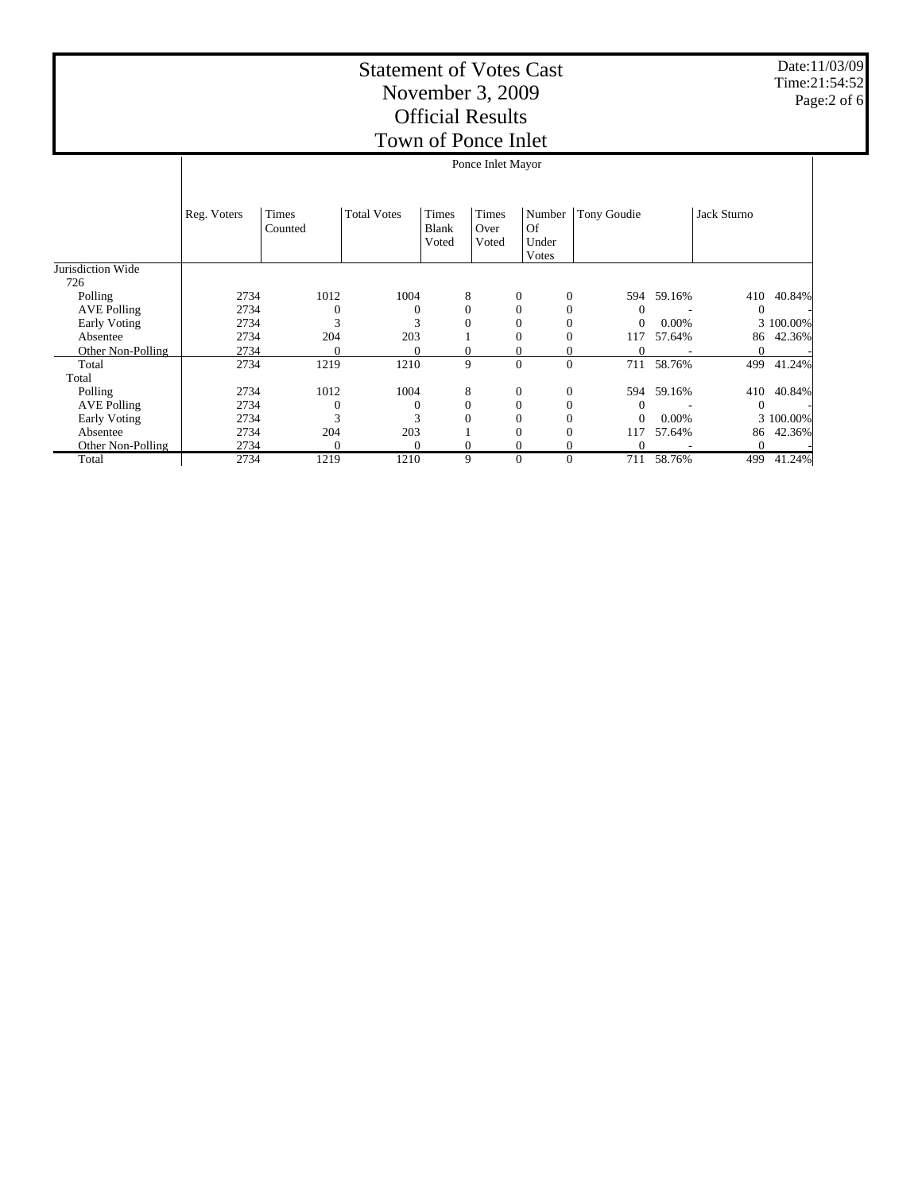|                    | Ponce Inlet Mayor |                         |                    |                         |                        |                                |                  |                |        |             |           |
|--------------------|-------------------|-------------------------|--------------------|-------------------------|------------------------|--------------------------------|------------------|----------------|--------|-------------|-----------|
|                    | Reg. Voters       | <b>Times</b><br>Counted | <b>Total Votes</b> | Times<br>Blank<br>Voted | Times<br>Over<br>Voted | Number<br>Of<br>Under<br>Votes |                  | Tony Goudie    |        | Jack Sturno |           |
| Jurisdiction Wide  |                   |                         |                    |                         |                        |                                |                  |                |        |             |           |
| 726                |                   |                         |                    |                         |                        |                                |                  |                |        |             |           |
| Polling            | 2734              | 1012                    | 1004               | 8                       |                        | $\mathbf{0}$                   | $\boldsymbol{0}$ | 594            | 59.16% | 410         | 40.84%    |
| <b>AVE Polling</b> | 2734              | 0                       | $\Omega$           | $\boldsymbol{0}$        |                        | $\mathbf{0}$                   | $\boldsymbol{0}$ | $\Omega$       |        | $\Omega$    |           |
| Early Voting       | 2734              | 3                       | 3                  | $\mathbf{0}$            |                        | $\mathbf{0}$                   | $\boldsymbol{0}$ | $\mathbf{0}$   | 0.00%  |             | 3 100.00% |
| Absentee           | 2734              | 204                     | 203                |                         |                        | 0                              | $\mathbf{0}$     | 117            | 57.64% | 86          | 42.36%    |
| Other Non-Polling  | 2734              | $\Omega$                | $\Omega$           | $\mathbf{0}$            |                        | $\mathbf{0}$                   | 0                | $\Omega$       |        | 0           |           |
| Total              | 2734              | 1219                    | 1210               | 9                       |                        | $\mathbf{0}$                   | $\overline{0}$   | 711            | 58.76% | 499         | 41.24%    |
| Total              |                   |                         |                    |                         |                        |                                |                  |                |        |             |           |
| Polling            | 2734              | 1012                    | 1004               | 8                       |                        | $\mathbf{0}$                   | $\mathbf{0}$     | 594            | 59.16% | 410         | 40.84%    |
| <b>AVE Polling</b> | 2734              | 0                       | $\Omega$           | $\mathbf{0}$            |                        | $\mathbf{0}$                   | $\boldsymbol{0}$ | $\Omega$       |        | $\Omega$    |           |
| Early Voting       | 2734              | 3                       |                    | $\mathbf{0}$            |                        | $\mathbf{0}$                   | $\mathbf{0}$     | $\overline{0}$ | 0.00%  |             | 3 100.00% |
| Absentee           | 2734              | 204                     | 203                |                         |                        | $\Omega$                       | $\mathbf{0}$     | 117            | 57.64% | 86          | 42.36%    |
| Other Non-Polling  | 2734              | 0                       | $\Omega$           | $\mathbf{0}$            |                        | $\theta$                       | $\boldsymbol{0}$ | $\Omega$       |        | $\theta$    |           |
| Total              | 2734              | 1219                    | 1210               | 9                       |                        | $\mathbf{0}$                   | $\mathbf{0}$     | 711            | 58.76% | 499         | 41.24%    |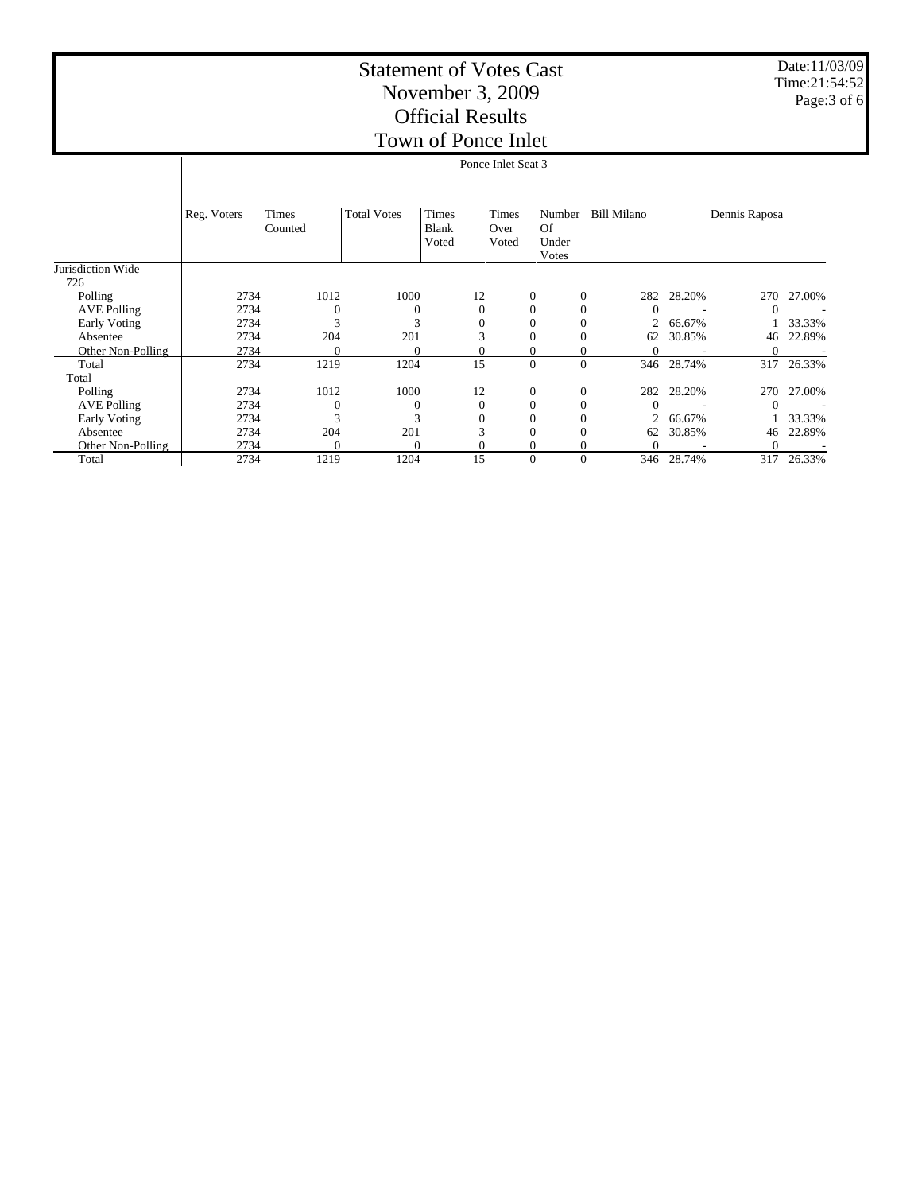|                     | Ponce Inlet Seat 3 |                  |                    |                         |                        |                                |                          |            |               |        |  |
|---------------------|--------------------|------------------|--------------------|-------------------------|------------------------|--------------------------------|--------------------------|------------|---------------|--------|--|
|                     | Reg. Voters        | Times<br>Counted | <b>Total Votes</b> | Times<br>Blank<br>Voted | Times<br>Over<br>Voted | Number<br>Of<br>Under<br>Votes | <b>Bill Milano</b>       |            | Dennis Raposa |        |  |
| Jurisdiction Wide   |                    |                  |                    |                         |                        |                                |                          |            |               |        |  |
| 726<br>Polling      | 2734               | 1012             | 1000               |                         | 12                     | $\mathbf{0}$                   | $\overline{0}$<br>282    | 28.20%     | 270           | 27.00% |  |
| <b>AVE Polling</b>  | 2734               | $\overline{0}$   | 0                  |                         | $\mathbf{0}$           | $\overline{0}$                 | $\theta$<br>$\Omega$     |            | $\Omega$      |        |  |
| <b>Early Voting</b> | 2734               | 3                | 3                  |                         |                        | $\boldsymbol{0}$               | 0<br>$\overline{2}$      | 66.67%     |               | 33.33% |  |
| Absentee            | 2734               | 204              | 201                |                         |                        | $\overline{0}$                 | $\theta$<br>62           | 30.85%     | 46            | 22.89% |  |
| Other Non-Polling   | 2734               | $\overline{0}$   | $\overline{0}$     |                         |                        | $\overline{0}$                 | $\overline{0}$<br>0      |            |               |        |  |
| Total               | 2734               | 1219             | 1204               |                         | 15                     | $\mathbf{0}$                   | $\mathbf{0}$             | 346 28.74% | 317           | 26.33% |  |
| Total               |                    |                  |                    |                         |                        |                                |                          |            |               |        |  |
| Polling             | 2734               | 1012             | 1000               |                         | 12                     | $\mathbf{0}$                   | $\overline{0}$<br>282    | 28.20%     | 270           | 27.00% |  |
| <b>AVE Polling</b>  | 2734               | $\Omega$         | $\mathbf{0}$       |                         | $\Omega$               | $\overline{0}$                 | $\mathbf{0}$<br>$\Omega$ |            | $\Omega$      |        |  |
| Early Voting        | 2734               | 3                | 3                  |                         |                        | $\overline{0}$                 | $\overline{2}$<br>0      | 66.67%     |               | 33.33% |  |
| Absentee            | 2734               | 204              | 201                |                         | 3                      | $\overline{0}$                 | $\Omega$<br>62           | 30.85%     | 46            | 22.89% |  |
| Other Non-Polling   | 2734               | $\Omega$         | $\Omega$           |                         |                        | $\overline{0}$                 | $\Omega$<br>$\Omega$     |            | $\Omega$      |        |  |
| Total               | 2734               | 1219             | 1204               |                         | 15                     | $\overline{0}$                 | $\theta$                 | 346 28.74% | 317           | 26.33% |  |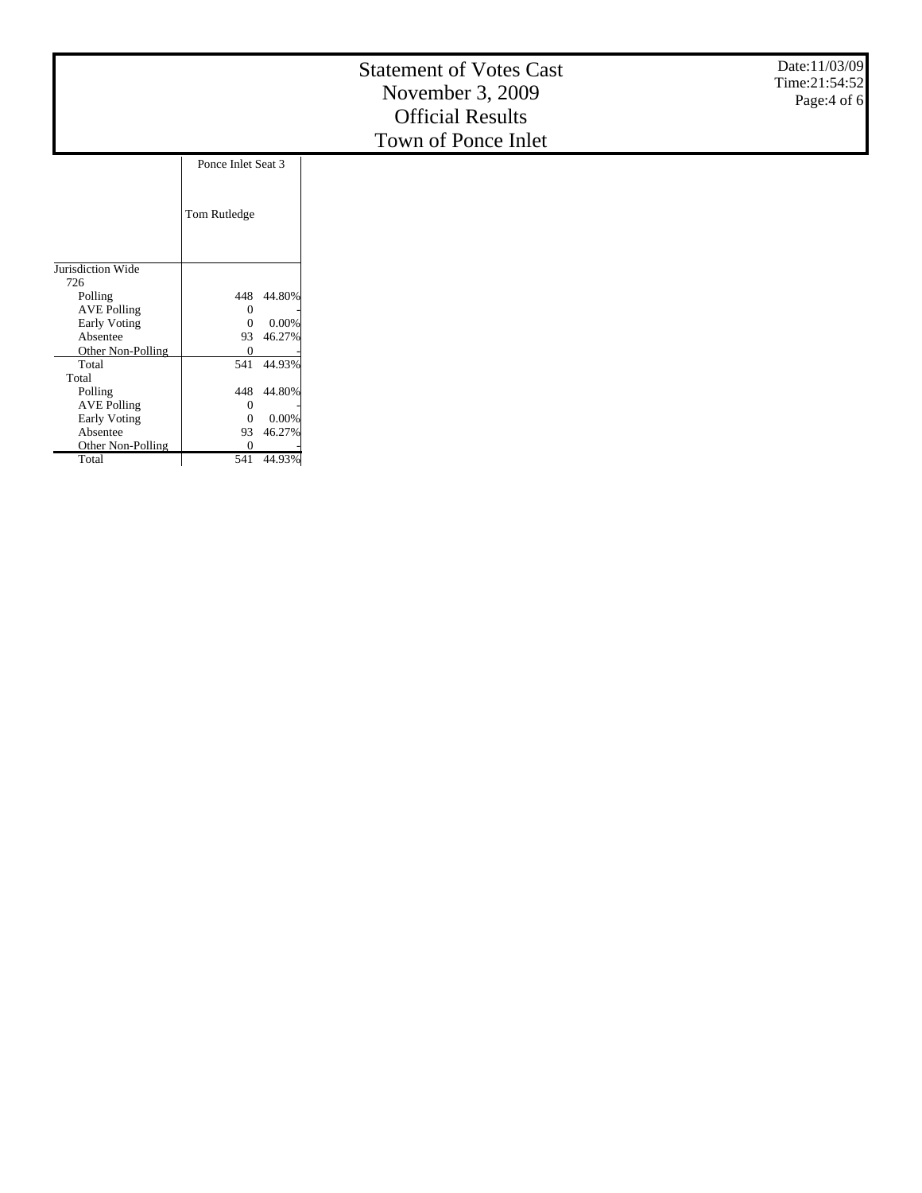|                    |                    |        | <b>Statement of Votes Cast</b><br>November 3, 2009<br><b>Official Results</b><br>Town of Ponce Inlet | Date:11/03/09<br>Time:21:54:52<br>Page: 4 of 6 |
|--------------------|--------------------|--------|------------------------------------------------------------------------------------------------------|------------------------------------------------|
|                    | Ponce Inlet Seat 3 |        |                                                                                                      |                                                |
|                    | Tom Rutledge       |        |                                                                                                      |                                                |
| Jurisdiction Wide  |                    |        |                                                                                                      |                                                |
| 726                |                    |        |                                                                                                      |                                                |
| Polling            | 448                | 44.80% |                                                                                                      |                                                |
| <b>AVE Polling</b> | 0                  |        |                                                                                                      |                                                |
| Early Voting       | $\Omega$           | 0.00%  |                                                                                                      |                                                |
| Absentee           | 93                 | 46.27% |                                                                                                      |                                                |
| Other Non-Polling  | $\overline{0}$     |        |                                                                                                      |                                                |
| Total              | 541                | 44.93% |                                                                                                      |                                                |
| Total              |                    |        |                                                                                                      |                                                |
| Polling            | 448                | 44.80% |                                                                                                      |                                                |
| <b>AVE Polling</b> | $\theta$           |        |                                                                                                      |                                                |
| Early Voting       | $\theta$           | 0.00%  |                                                                                                      |                                                |
| Absentee           | 93                 | 46.27% |                                                                                                      |                                                |
| Other Non-Polling  | $\theta$           |        |                                                                                                      |                                                |

Total

541 44.93%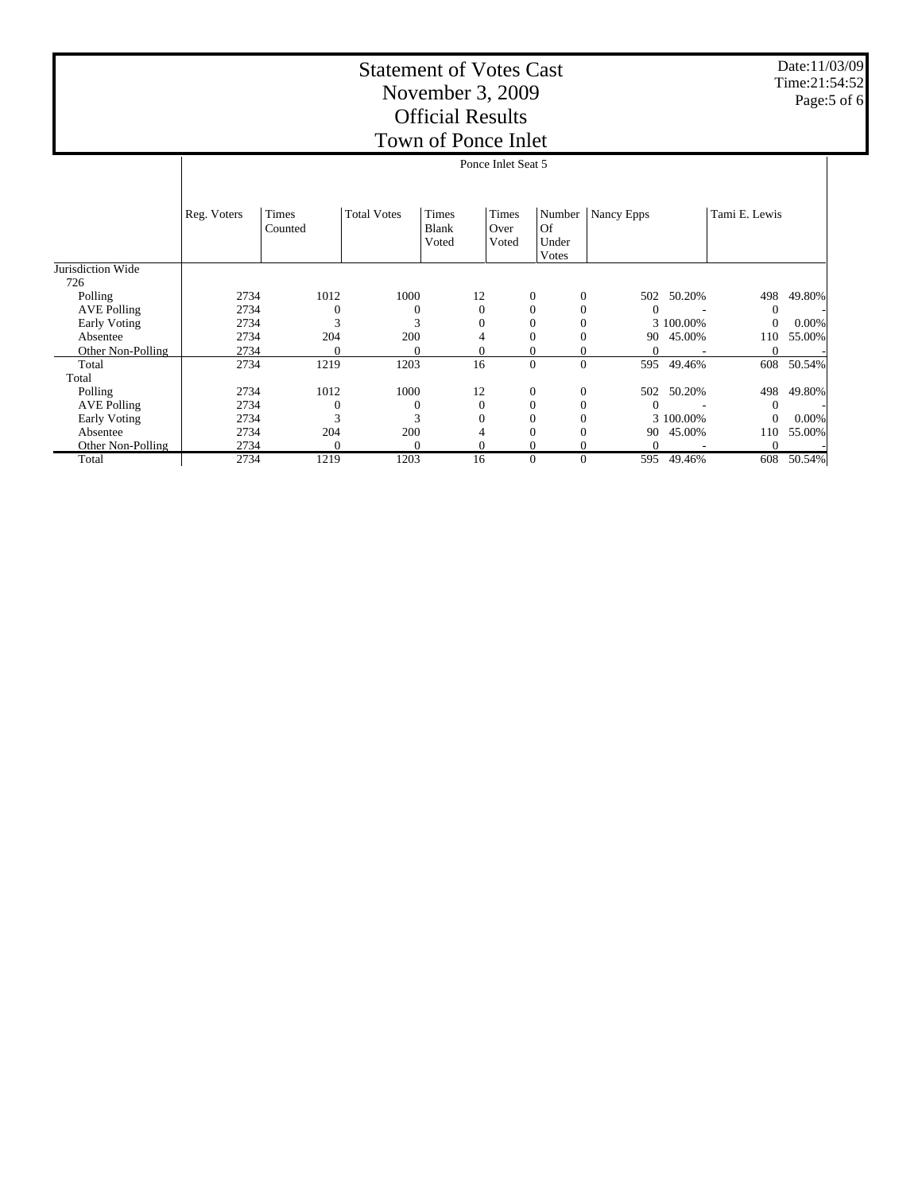|                     | Ponce Inlet Seat 5 |                  |                    |                                       |                        |                                |                       |           |               |          |  |  |
|---------------------|--------------------|------------------|--------------------|---------------------------------------|------------------------|--------------------------------|-----------------------|-----------|---------------|----------|--|--|
|                     | Reg. Voters        | Times<br>Counted | <b>Total Votes</b> | <b>Times</b><br><b>Blank</b><br>Voted | Times<br>Over<br>Voted | Number<br>Of<br>Under<br>Votes | Nancy Epps            |           | Tami E. Lewis |          |  |  |
| Jurisdiction Wide   |                    |                  |                    |                                       |                        |                                |                       |           |               |          |  |  |
| 726                 |                    |                  |                    |                                       |                        |                                |                       |           |               |          |  |  |
| Polling             | 2734               | 1012             | 1000               | 12                                    |                        | $\mathbf{0}$                   | $\overline{0}$<br>502 | 50.20%    | 498           | 49.80%   |  |  |
| <b>AVE Polling</b>  | 2734               | $\theta$         | 0                  | $\Omega$                              |                        | $\mathbf{0}$                   | $\Omega$              |           | $\Omega$      |          |  |  |
| <b>Early Voting</b> | 2734               | 3                | 3                  |                                       |                        | $\mathbf{0}$                   | $\mathbf{0}$          | 3 100.00% | $\theta$      | $0.00\%$ |  |  |
| Absentee            | 2734               | 204              | 200                |                                       |                        | $\overline{0}$                 | $\theta$              | 90 45.00% | 110           | 55.00%   |  |  |
| Other Non-Polling   | 2734               | 0                | 0                  |                                       |                        | $\mathbf{0}$                   | 0<br>0                |           | $\theta$      |          |  |  |
| Total               | 2734               | 1219             | 1203               | 16                                    |                        | $\boldsymbol{0}$               | $\overline{0}$<br>595 | 49.46%    | 608           | 50.54%   |  |  |
| Total               |                    |                  |                    |                                       |                        |                                |                       |           |               |          |  |  |
| Polling             | 2734               | 1012             | 1000               | 12                                    |                        | $\boldsymbol{0}$               | $\overline{0}$<br>502 | 50.20%    | 498           | 49.80%   |  |  |
| <b>AVE Polling</b>  | 2734               | 0                | $\Omega$           | $\Omega$                              |                        | $\mathbf{0}$                   | $\Omega$              |           | $\Omega$      |          |  |  |
| Early Voting        | 2734               | 3                |                    |                                       |                        | $\mathbf{0}$                   | $\Omega$              | 3 100,00% | 0             | $0.00\%$ |  |  |
| Absentee            | 2734               | 204              | 200                | 4                                     |                        | $\mathbf{0}$                   | $\Omega$              | 90 45.00% | 110           | 55.00%   |  |  |
| Other Non-Polling   | 2734               | $\Omega$         | $\Omega$           |                                       |                        | $\theta$                       | $\Omega$              |           | $\Omega$      |          |  |  |
| Total               | 2734               | 1219             | 1203               | 16                                    |                        | $\mathbf{0}$                   | $\mathbf{0}$<br>595   | 49.46%    | 608           | 50.54%   |  |  |